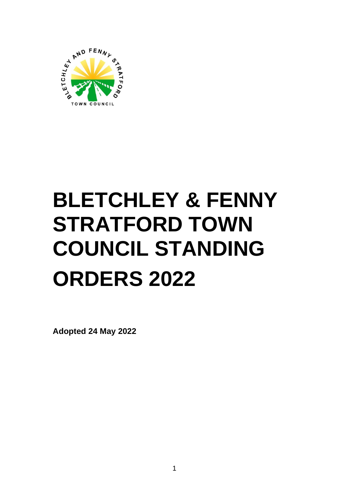

# **BLETCHLEY & FENNY STRATFORD TOWN COUNCIL STANDING ORDERS 2022**

**Adopted 24 May 2022**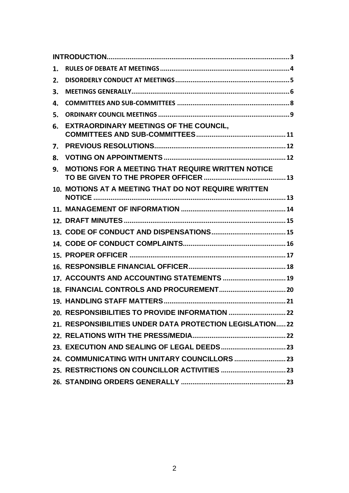| 1. |                                                          |
|----|----------------------------------------------------------|
| 2. |                                                          |
| З. |                                                          |
| 4. |                                                          |
| 5. |                                                          |
| 6. | <b>EXTRAORDINARY MEETINGS OF THE COUNCIL,</b>            |
| 7. |                                                          |
| 8. |                                                          |
| 9. | <b>MOTIONS FOR A MEETING THAT REQUIRE WRITTEN NOTICE</b> |
|    | 10. MOTIONS AT A MEETING THAT DO NOT REQUIRE WRITTEN     |
|    |                                                          |
|    |                                                          |
|    |                                                          |
|    |                                                          |
|    |                                                          |
|    |                                                          |
|    | 17. ACCOUNTS AND ACCOUNTING STATEMENTS  19               |
|    |                                                          |
|    |                                                          |
|    |                                                          |
|    | 21. RESPONSIBILITIES UNDER DATA PROTECTION LEGISLATION22 |
|    |                                                          |
|    |                                                          |
|    |                                                          |
|    |                                                          |
|    |                                                          |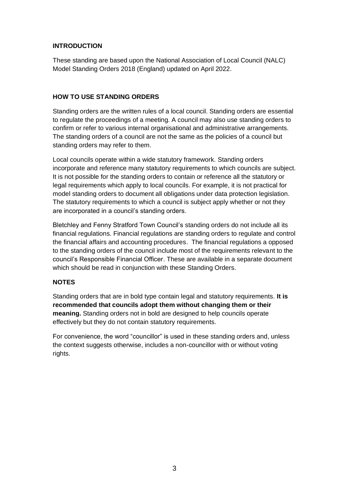# <span id="page-2-0"></span>**INTRODUCTION**

These standing are based upon the National Association of Local Council (NALC) Model Standing Orders 2018 (England) updated on April 2022.

# **HOW TO USE STANDING ORDERS**

Standing orders are the written rules of a local council. Standing orders are essential to regulate the proceedings of a meeting. A council may also use standing orders to confirm or refer to various internal organisational and administrative arrangements. The standing orders of a council are not the same as the policies of a council but standing orders may refer to them.

Local councils operate within a wide statutory framework. Standing orders incorporate and reference many statutory requirements to which councils are subject. It is not possible for the standing orders to contain or reference all the statutory or legal requirements which apply to local councils. For example, it is not practical for model standing orders to document all obligations under data protection legislation. The statutory requirements to which a council is subject apply whether or not they are incorporated in a council's standing orders.

Bletchley and Fenny Stratford Town Council's standing orders do not include all its financial regulations. Financial regulations are standing orders to regulate and control the financial affairs and accounting procedures. The financial regulations a opposed to the standing orders of the council include most of the requirements relevant to the council's Responsible Financial Officer. These are available in a separate document which should be read in conjunction with these Standing Orders.

# **NOTES**

Standing orders that are in bold type contain legal and statutory requirements. **It is recommended that councils adopt them without changing them or their meaning.** Standing orders not in bold are designed to help councils operate effectively but they do not contain statutory requirements.

For convenience, the word "councillor" is used in these standing orders and, unless the context suggests otherwise, includes a non-councillor with or without voting rights.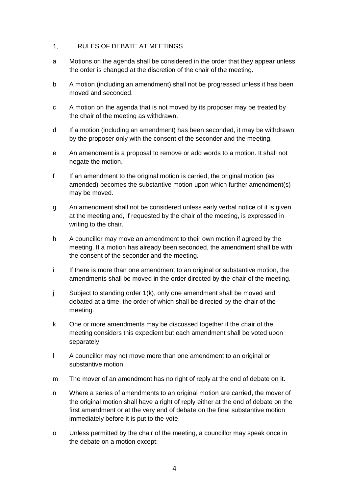### <span id="page-3-0"></span> $1<sub>1</sub>$ RULES OF DEBATE AT MEETINGS

- a Motions on the agenda shall be considered in the order that they appear unless the order is changed at the discretion of the chair of the meeting.
- b A motion (including an amendment) shall not be progressed unless it has been moved and seconded.
- c A motion on the agenda that is not moved by its proposer may be treated by the chair of the meeting as withdrawn.
- d If a motion (including an amendment) has been seconded, it may be withdrawn by the proposer only with the consent of the seconder and the meeting.
- e An amendment is a proposal to remove or add words to a motion. It shall not negate the motion.
- f If an amendment to the original motion is carried, the original motion (as amended) becomes the substantive motion upon which further amendment(s) may be moved.
- g An amendment shall not be considered unless early verbal notice of it is given at the meeting and, if requested by the chair of the meeting, is expressed in writing to the chair.
- h A councillor may move an amendment to their own motion if agreed by the meeting. If a motion has already been seconded, the amendment shall be with the consent of the seconder and the meeting.
- i If there is more than one amendment to an original or substantive motion, the amendments shall be moved in the order directed by the chair of the meeting.
- j Subject to standing order 1(k), only one amendment shall be moved and debated at a time, the order of which shall be directed by the chair of the meeting.
- k One or more amendments may be discussed together if the chair of the meeting considers this expedient but each amendment shall be voted upon separately.
- l A councillor may not move more than one amendment to an original or substantive motion.
- m The mover of an amendment has no right of reply at the end of debate on it.
- n Where a series of amendments to an original motion are carried, the mover of the original motion shall have a right of reply either at the end of debate on the first amendment or at the very end of debate on the final substantive motion immediately before it is put to the vote.
- o Unless permitted by the chair of the meeting, a councillor may speak once in the debate on a motion except: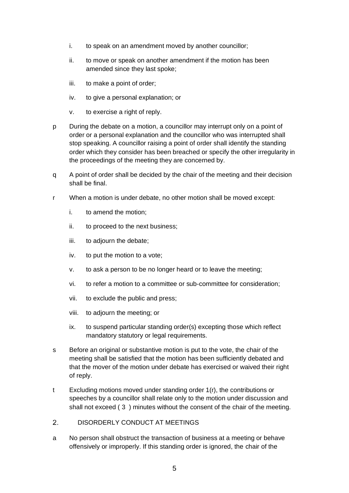- i. to speak on an amendment moved by another councillor;
- ii. to move or speak on another amendment if the motion has been amended since they last spoke;
- iii. to make a point of order;
- iv. to give a personal explanation; or
- v. to exercise a right of reply.
- p During the debate on a motion, a councillor may interrupt only on a point of order or a personal explanation and the councillor who was interrupted shall stop speaking. A councillor raising a point of order shall identify the standing order which they consider has been breached or specify the other irregularity in the proceedings of the meeting they are concerned by.
- q A point of order shall be decided by the chair of the meeting and their decision shall be final.
- r When a motion is under debate, no other motion shall be moved except:
	- i. to amend the motion;
	- ii. to proceed to the next business;
	- iii. to adjourn the debate;
	- iv. to put the motion to a vote;
	- v. to ask a person to be no longer heard or to leave the meeting;
	- vi. to refer a motion to a committee or sub-committee for consideration;
	- vii. to exclude the public and press;
	- viii. to adjourn the meeting; or
	- ix. to suspend particular standing order(s) excepting those which reflect mandatory statutory or legal requirements.
- s Before an original or substantive motion is put to the vote, the chair of the meeting shall be satisfied that the motion has been sufficiently debated and that the mover of the motion under debate has exercised or waived their right of reply.
- t Excluding motions moved under standing order 1(r), the contributions or speeches by a councillor shall relate only to the motion under discussion and shall not exceed ( 3 ) minutes without the consent of the chair of the meeting.
- <span id="page-4-0"></span> $2.$ DISORDERLY CONDUCT AT MEETINGS
- a No person shall obstruct the transaction of business at a meeting or behave offensively or improperly. If this standing order is ignored, the chair of the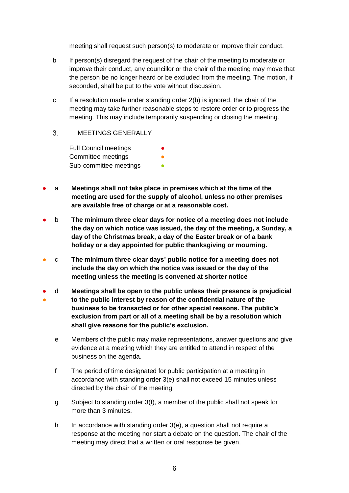meeting shall request such person(s) to moderate or improve their conduct.

- b If person(s) disregard the request of the chair of the meeting to moderate or improve their conduct, any councillor or the chair of the meeting may move that the person be no longer heard or be excluded from the meeting. The motion, if seconded, shall be put to the vote without discussion.
- $c \cdot$  If a resolution made under standing order  $2(b)$  is ignored, the chair of the meeting may take further reasonable steps to restore order or to progress the meeting. This may include temporarily suspending or closing the meeting.
- <span id="page-5-0"></span> $\overline{3}$ MEETINGS GENERALLY

Full Council meetings **•** Committee meetings Sub-committee meetings **•** 

- a **Meetings shall not take place in premises which at the time of the meeting are used for the supply of alcohol, unless no other premises are available free of charge or at a reasonable cost.**
- b **The minimum three clear days for notice of a meeting does not include the day on which notice was issued, the day of the meeting, a Sunday, a day of the Christmas break, a day of the Easter break or of a bank holiday or a day appointed for public thanksgiving or mourning.**
- c **The minimum three clear days' public notice for a meeting does not include the day on which the notice was issued or the day of the meeting unless the meeting is convened at shorter notice**
- ● d **Meetings shall be open to the public unless their presence is prejudicial to the public interest by reason of the confidential nature of the business to be transacted or for other special reasons. The public's exclusion from part or all of a meeting shall be by a resolution which shall give reasons for the public's exclusion.**
	- e Members of the public may make representations, answer questions and give evidence at a meeting which they are entitled to attend in respect of the business on the agenda.
	- f The period of time designated for public participation at a meeting in accordance with standing order 3(e) shall not exceed 15 minutes unless directed by the chair of the meeting.
	- g Subject to standing order 3(f), a member of the public shall not speak for more than 3 minutes.
	- h In accordance with standing order 3(e), a question shall not require a response at the meeting nor start a debate on the question. The chair of the meeting may direct that a written or oral response be given.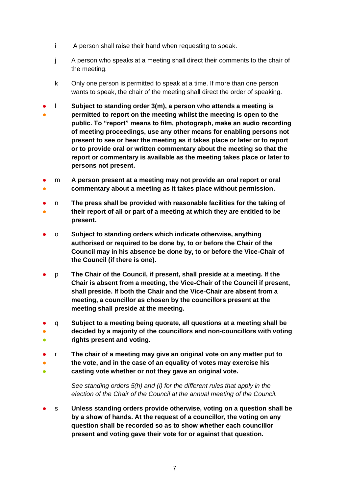- i A person shall raise their hand when requesting to speak.
- j A person who speaks at a meeting shall direct their comments to the chair of the meeting.
- k Only one person is permitted to speak at a time. If more than one person wants to speak, the chair of the meeting shall direct the order of speaking.
- ● l **Subject to standing order 3(m), a person who attends a meeting is permitted to report on the meeting whilst the meeting is open to the public. To "report" means to film, photograph, make an audio recording of meeting proceedings, use any other means for enabling persons not present to see or hear the meeting as it takes place or later or to report or to provide oral or written commentary about the meeting so that the report or commentary is available as the meeting takes place or later to persons not present.**
- ● m **A person present at a meeting may not provide an oral report or oral commentary about a meeting as it takes place without permission.**
- ● n **The press shall be provided with reasonable facilities for the taking of their report of all or part of a meeting at which they are entitled to be present.**
- o **Subject to standing orders which indicate otherwise, anything authorised or required to be done by, to or before the Chair of the Council may in his absence be done by, to or before the Vice-Chair of the Council (if there is one).**
- p **The Chair of the Council, if present, shall preside at a meeting. If the Chair is absent from a meeting, the Vice-Chair of the Council if present, shall preside. If both the Chair and the Vice-Chair are absent from a meeting, a councillor as chosen by the councillors present at the meeting shall preside at the meeting.**
- ● ● q **Subject to a meeting being quorate, all questions at a meeting shall be decided by a majority of the councillors and non-councillors with voting rights present and voting.**
- ● r **The chair of a meeting may give an original vote on any matter put to the vote, and in the case of an equality of votes may exercise his**
- **casting vote whether or not they gave an original vote.**

*See standing orders 5(h) and (i) for the different rules that apply in the election of the Chair of the Council at the annual meeting of the Council.*

● s **Unless standing orders provide otherwise, voting on a question shall be by a show of hands. At the request of a councillor, the voting on any question shall be recorded so as to show whether each councillor present and voting gave their vote for or against that question.**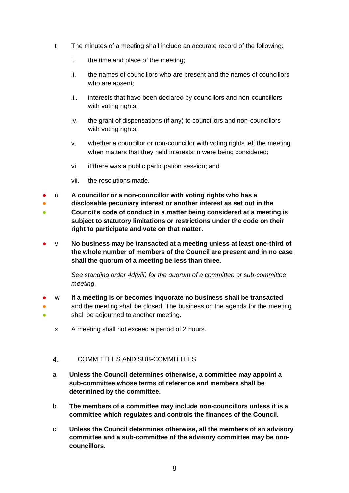- t The minutes of a meeting shall include an accurate record of the following:
	- i. the time and place of the meeting;
	- ii. the names of councillors who are present and the names of councillors who are absent;
	- iii. interests that have been declared by councillors and non-councillors with voting rights;
	- iv. the grant of dispensations (if any) to councillors and non-councillors with voting rights;
	- v. whether a councillor or non-councillor with voting rights left the meeting when matters that they held interests in were being considered;
	- vi. if there was a public participation session; and
	- vii. the resolutions made.
- u **A councillor or a non-councillor with voting rights who has a**
- **disclosable pecuniary interest or another interest as set out in the**
- **Council's code of conduct in a matter being considered at a meeting is subject to statutory limitations or restrictions under the code on their right to participate and vote on that matter.**
- v **No business may be transacted at a meeting unless at least one-third of the whole number of members of the Council are present and in no case shall the quorum of a meeting be less than three.**

*See standing order 4d(viii) for the quorum of a committee or sub-committee meeting.* 

- ● ● w **If a meeting is or becomes inquorate no business shall be transacted** and the meeting shall be closed. The business on the agenda for the meeting shall be adjourned to another meeting.
	- x A meeting shall not exceed a period of 2 hours.

# <span id="page-7-0"></span>COMMITTEES AND SUB-COMMITTEES 4.

- a **Unless the Council determines otherwise, a committee may appoint a sub-committee whose terms of reference and members shall be determined by the committee.**
- b **The members of a committee may include non-councillors unless it is a committee which regulates and controls the finances of the Council.**
- c **Unless the Council determines otherwise, all the members of an advisory committee and a sub-committee of the advisory committee may be noncouncillors.**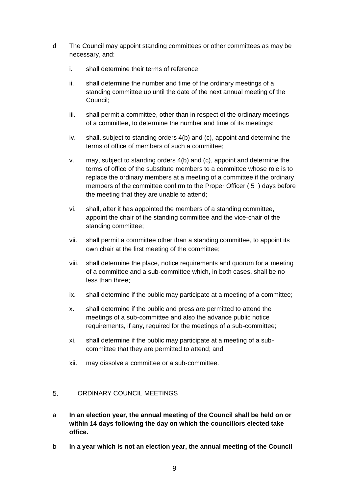- d The Council may appoint standing committees or other committees as may be necessary, and:
	- i. shall determine their terms of reference;
	- ii. shall determine the number and time of the ordinary meetings of a standing committee up until the date of the next annual meeting of the Council;
	- iii. shall permit a committee, other than in respect of the ordinary meetings of a committee, to determine the number and time of its meetings;
	- iv. shall, subject to standing orders 4(b) and (c), appoint and determine the terms of office of members of such a committee;
	- v. may, subject to standing orders 4(b) and (c), appoint and determine the terms of office of the substitute members to a committee whose role is to replace the ordinary members at a meeting of a committee if the ordinary members of the committee confirm to the Proper Officer ( 5 ) days before the meeting that they are unable to attend;
	- vi. shall, after it has appointed the members of a standing committee, appoint the chair of the standing committee and the vice-chair of the standing committee;
	- vii. shall permit a committee other than a standing committee, to appoint its own chair at the first meeting of the committee;
	- viii. shall determine the place, notice requirements and quorum for a meeting of a committee and a sub-committee which, in both cases, shall be no less than three;
	- ix. shall determine if the public may participate at a meeting of a committee;
	- x. shall determine if the public and press are permitted to attend the meetings of a sub-committee and also the advance public notice requirements, if any, required for the meetings of a sub-committee;
	- xi. shall determine if the public may participate at a meeting of a subcommittee that they are permitted to attend; and
	- xii. may dissolve a committee or a sub-committee.

# <span id="page-8-0"></span> $5<sup>5</sup>$ ORDINARY COUNCIL MEETINGS

- a **In an election year, the annual meeting of the Council shall be held on or within 14 days following the day on which the councillors elected take office.**
- b **In a year which is not an election year, the annual meeting of the Council**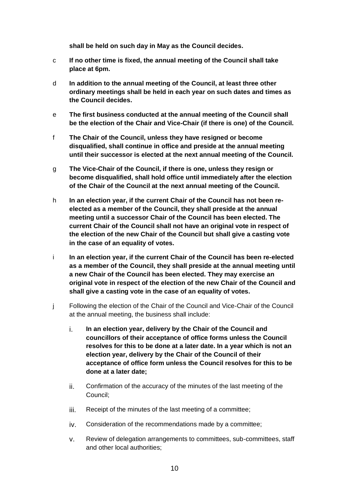**shall be held on such day in May as the Council decides.**

- c **If no other time is fixed, the annual meeting of the Council shall take place at 6pm.**
- d **In addition to the annual meeting of the Council, at least three other ordinary meetings shall be held in each year on such dates and times as the Council decides.**
- e **The first business conducted at the annual meeting of the Council shall be the election of the Chair and Vice-Chair (if there is one) of the Council.**
- f **The Chair of the Council, unless they have resigned or become disqualified, shall continue in office and preside at the annual meeting until their successor is elected at the next annual meeting of the Council.**
- g **The Vice-Chair of the Council, if there is one, unless they resign or become disqualified, shall hold office until immediately after the election of the Chair of the Council at the next annual meeting of the Council.**
- h **In an election year, if the current Chair of the Council has not been reelected as a member of the Council, they shall preside at the annual meeting until a successor Chair of the Council has been elected. The current Chair of the Council shall not have an original vote in respect of the election of the new Chair of the Council but shall give a casting vote in the case of an equality of votes.**
- i **In an election year, if the current Chair of the Council has been re-elected as a member of the Council, they shall preside at the annual meeting until a new Chair of the Council has been elected. They may exercise an original vote in respect of the election of the new Chair of the Council and shall give a casting vote in the case of an equality of votes.**
- j Following the election of the Chair of the Council and Vice-Chair of the Council at the annual meeting, the business shall include:
	- i. **In an election year, delivery by the Chair of the Council and councillors of their acceptance of office forms unless the Council resolves for this to be done at a later date. In a year which is not an election year, delivery by the Chair of the Council of their acceptance of office form unless the Council resolves for this to be done at a later date;**
	- ii. Confirmation of the accuracy of the minutes of the last meeting of the Council;
	- iii. Receipt of the minutes of the last meeting of a committee;
	- iv. Consideration of the recommendations made by a committee;
	- v. Review of delegation arrangements to committees, sub-committees, staff and other local authorities;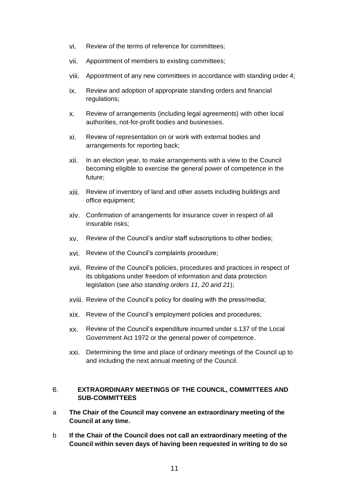- vi. Review of the terms of reference for committees;
- vii. Appointment of members to existing committees;
- viii. Appointment of any new committees in accordance with standing order 4;
- ix. Review and adoption of appropriate standing orders and financial regulations;
- x. Review of arrangements (including legal agreements) with other local authorities, not-for-profit bodies and businesses.
- xi. Review of representation on or work with external bodies and arrangements for reporting back;
- xii. In an election year, to make arrangements with a view to the Council becoming eligible to exercise the general power of competence in the future;
- xiii. Review of inventory of land and other assets including buildings and office equipment;
- xiv. Confirmation of arrangements for insurance cover in respect of all insurable risks;
- xv. Review of the Council's and/or staff subscriptions to other bodies;
- xvi. Review of the Council's complaints procedure;
- xvii. Review of the Council's policies, procedures and practices in respect of its obligations under freedom of information and data protection legislation (*see also standing orders 11, 20 and 21*);
- xviii. Review of the Council's policy for dealing with the press/media;
- xix. Review of the Council's employment policies and procedures;
- xx. Review of the Council's expenditure incurred under s.137 of the Local Government Act 1972 or the general power of competence.
- xxi. Determining the time and place of ordinary meetings of the Council up to and including the next annual meeting of the Council.

# <span id="page-10-0"></span>6. **EXTRAORDINARY MEETINGS OF THE COUNCIL, COMMITTEES AND SUB-COMMITTEES**

- a **The Chair of the Council may convene an extraordinary meeting of the Council at any time.**
- b **If the Chair of the Council does not call an extraordinary meeting of the Council within seven days of having been requested in writing to do so**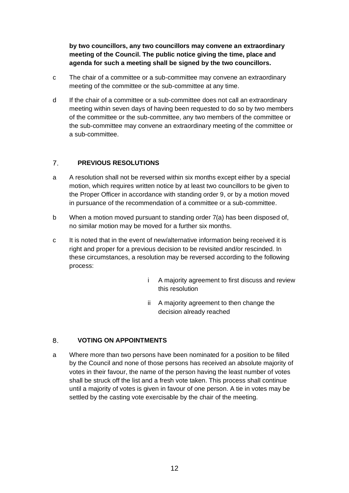**by two councillors, any two councillors may convene an extraordinary meeting of the Council. The public notice giving the time, place and agenda for such a meeting shall be signed by the two councillors.**

- c The chair of a committee or a sub-committee may convene an extraordinary meeting of the committee or the sub-committee at any time.
- d If the chair of a committee or a sub-committee does not call an extraordinary meeting within seven days of having been requested to do so by two members of the committee or the sub-committee, any two members of the committee or the sub-committee may convene an extraordinary meeting of the committee or a sub-committee.

# <span id="page-11-0"></span> $7<sub>1</sub>$ **PREVIOUS RESOLUTIONS**

- a A resolution shall not be reversed within six months except either by a special motion, which requires written notice by at least two councillors to be given to the Proper Officer in accordance with standing order 9, or by a motion moved in pursuance of the recommendation of a committee or a sub-committee.
- b When a motion moved pursuant to standing order 7(a) has been disposed of, no similar motion may be moved for a further six months.
- c It is noted that in the event of new/alternative information being received it is right and proper for a previous decision to be revisited and/or rescinded. In these circumstances, a resolution may be reversed according to the following process:
	- i A majority agreement to first discuss and review this resolution
	- ii A majority agreement to then change the decision already reached

# <span id="page-11-1"></span>**VOTING ON APPOINTMENTS** 8.

a Where more than two persons have been nominated for a position to be filled by the Council and none of those persons has received an absolute majority of votes in their favour, the name of the person having the least number of votes shall be struck off the list and a fresh vote taken. This process shall continue until a majority of votes is given in favour of one person. A tie in votes may be settled by the casting vote exercisable by the chair of the meeting.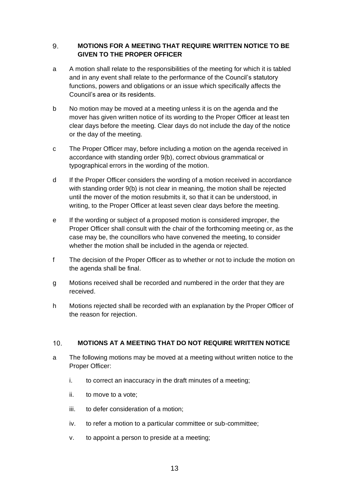# <span id="page-12-0"></span>9. **MOTIONS FOR A MEETING THAT REQUIRE WRITTEN NOTICE TO BE GIVEN TO THE PROPER OFFICER**

- a A motion shall relate to the responsibilities of the meeting for which it is tabled and in any event shall relate to the performance of the Council's statutory functions, powers and obligations or an issue which specifically affects the Council's area or its residents.
- b No motion may be moved at a meeting unless it is on the agenda and the mover has given written notice of its wording to the Proper Officer at least ten clear days before the meeting. Clear days do not include the day of the notice or the day of the meeting.
- c The Proper Officer may, before including a motion on the agenda received in accordance with standing order 9(b), correct obvious grammatical or typographical errors in the wording of the motion.
- d If the Proper Officer considers the wording of a motion received in accordance with standing order 9(b) is not clear in meaning, the motion shall be rejected until the mover of the motion resubmits it, so that it can be understood, in writing, to the Proper Officer at least seven clear days before the meeting.
- e If the wording or subject of a proposed motion is considered improper, the Proper Officer shall consult with the chair of the forthcoming meeting or, as the case may be, the councillors who have convened the meeting, to consider whether the motion shall be included in the agenda or rejected.
- f The decision of the Proper Officer as to whether or not to include the motion on the agenda shall be final.
- g Motions received shall be recorded and numbered in the order that they are received.
- h Motions rejected shall be recorded with an explanation by the Proper Officer of the reason for rejection.

# <span id="page-12-1"></span> $10.$ **MOTIONS AT A MEETING THAT DO NOT REQUIRE WRITTEN NOTICE**

- a The following motions may be moved at a meeting without written notice to the Proper Officer:
	- i. to correct an inaccuracy in the draft minutes of a meeting;
	- ii. to move to a vote;
	- iii. to defer consideration of a motion;
	- iv. to refer a motion to a particular committee or sub-committee;
	- v. to appoint a person to preside at a meeting;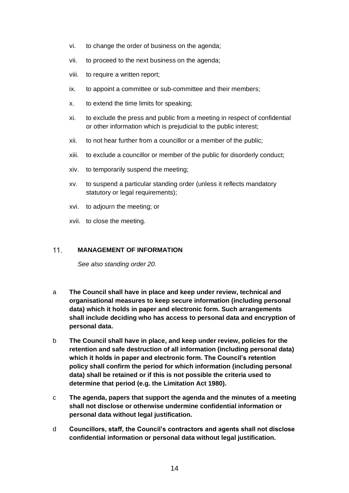- vi. to change the order of business on the agenda;
- vii. to proceed to the next business on the agenda;
- viii. to require a written report;
- ix. to appoint a committee or sub-committee and their members;
- x. to extend the time limits for speaking;
- xi. to exclude the press and public from a meeting in respect of confidential or other information which is prejudicial to the public interest;
- xii. to not hear further from a councillor or a member of the public;
- xiii. to exclude a councillor or member of the public for disorderly conduct;
- xiv. to temporarily suspend the meeting;
- xv. to suspend a particular standing order (unless it reflects mandatory statutory or legal requirements):
- xvi. to adjourn the meeting; or
- xvii. to close the meeting.

### <span id="page-13-0"></span> $11$ **MANAGEMENT OF INFORMATION**

*See also standing order 20.*

- a **The Council shall have in place and keep under review, technical and organisational measures to keep secure information (including personal data) which it holds in paper and electronic form. Such arrangements shall include deciding who has access to personal data and encryption of personal data.**
- b **The Council shall have in place, and keep under review, policies for the retention and safe destruction of all information (including personal data) which it holds in paper and electronic form. The Council's retention policy shall confirm the period for which information (including personal data) shall be retained or if this is not possible the criteria used to determine that period (e.g. the Limitation Act 1980).**
- c **The agenda, papers that support the agenda and the minutes of a meeting shall not disclose or otherwise undermine confidential information or personal data without legal justification.**
- d **Councillors, staff, the Council's contractors and agents shall not disclose confidential information or personal data without legal justification.**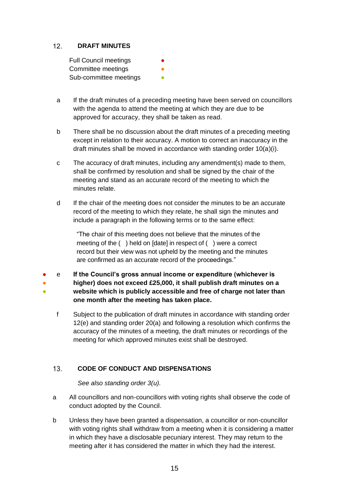# <span id="page-14-0"></span> $12.$ **DRAFT MINUTES**

| <b>Full Council meetings</b> |  |
|------------------------------|--|
| Committee meetings           |  |
| Sub-committee meetings       |  |

- a If the draft minutes of a preceding meeting have been served on councillors with the agenda to attend the meeting at which they are due to be approved for accuracy, they shall be taken as read.
- b There shall be no discussion about the draft minutes of a preceding meeting except in relation to their accuracy. A motion to correct an inaccuracy in the draft minutes shall be moved in accordance with standing order 10(a)(i).
- c The accuracy of draft minutes, including any amendment(s) made to them, shall be confirmed by resolution and shall be signed by the chair of the meeting and stand as an accurate record of the meeting to which the minutes relate.
- d If the chair of the meeting does not consider the minutes to be an accurate record of the meeting to which they relate, he shall sign the minutes and include a paragraph in the following terms or to the same effect:

"The chair of this meeting does not believe that the minutes of the meeting of the ( ) held on [date] in respect of ( ) were a correct record but their view was not upheld by the meeting and the minutes are confirmed as an accurate record of the proceedings."

- ● ● e **If the Council's gross annual income or expenditure (whichever is higher) does not exceed £25,000, it shall publish draft minutes on a website which is publicly accessible and free of charge not later than one month after the meeting has taken place.**
	- f Subject to the publication of draft minutes in accordance with standing order 12(e) and standing order 20(a) and following a resolution which confirms the accuracy of the minutes of a meeting, the draft minutes or recordings of the meeting for which approved minutes exist shall be destroyed.

# <span id="page-14-1"></span> $13.$ **CODE OF CONDUCT AND DISPENSATIONS**

*See also standing order 3(u).*

- a All councillors and non-councillors with voting rights shall observe the code of conduct adopted by the Council.
- b Unless they have been granted a dispensation, a councillor or non-councillor with voting rights shall withdraw from a meeting when it is considering a matter in which they have a disclosable pecuniary interest. They may return to the meeting after it has considered the matter in which they had the interest.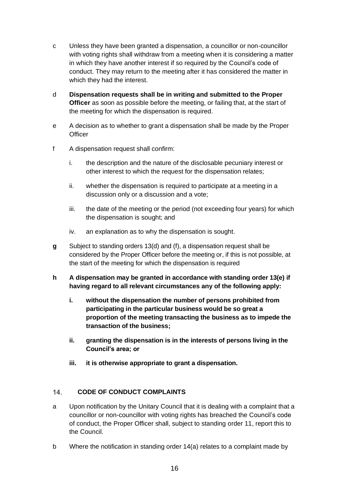- c Unless they have been granted a dispensation, a councillor or non-councillor with voting rights shall withdraw from a meeting when it is considering a matter in which they have another interest if so required by the Council's code of conduct. They may return to the meeting after it has considered the matter in which they had the interest.
- d **Dispensation requests shall be in writing and submitted to the Proper Officer** as soon as possible before the meeting, or failing that, at the start of the meeting for which the dispensation is required.
- e A decision as to whether to grant a dispensation shall be made by the Proper **Officer**
- f A dispensation request shall confirm:
	- i. the description and the nature of the disclosable pecuniary interest or other interest to which the request for the dispensation relates;
	- ii. whether the dispensation is required to participate at a meeting in a discussion only or a discussion and a vote;
	- iii. the date of the meeting or the period (not exceeding four years) for which the dispensation is sought; and
	- iv. an explanation as to why the dispensation is sought.
- **g** Subject to standing orders 13(d) and (f), a dispensation request shall be considered by the Proper Officer before the meeting or, if this is not possible, at the start of the meeting for which the dispensation is required
- **h A dispensation may be granted in accordance with standing order 13(e) if having regard to all relevant circumstances any of the following apply:**
	- **i. without the dispensation the number of persons prohibited from participating in the particular business would be so great a proportion of the meeting transacting the business as to impede the transaction of the business;**
	- **ii. granting the dispensation is in the interests of persons living in the Council's area; or**
	- **iii. it is otherwise appropriate to grant a dispensation.**

# <span id="page-15-0"></span> $14.$ **CODE OF CONDUCT COMPLAINTS**

- a Upon notification by the Unitary Council that it is dealing with a complaint that a councillor or non-councillor with voting rights has breached the Council's code of conduct, the Proper Officer shall, subject to standing order 11, report this to the Council.
- b Where the notification in standing order 14(a) relates to a complaint made by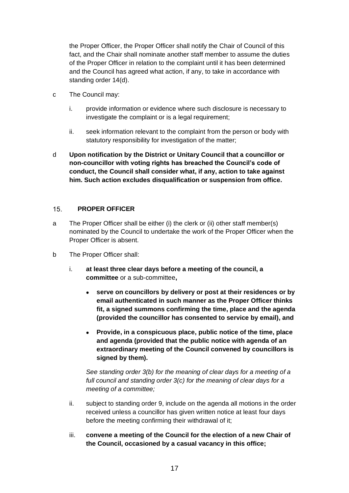the Proper Officer, the Proper Officer shall notify the Chair of Council of this fact, and the Chair shall nominate another staff member to assume the duties of the Proper Officer in relation to the complaint until it has been determined and the Council has agreed what action, if any, to take in accordance with standing order 14(d).

- c The Council may:
	- i. provide information or evidence where such disclosure is necessary to investigate the complaint or is a legal requirement;
	- ii. seek information relevant to the complaint from the person or body with statutory responsibility for investigation of the matter;
- d **Upon notification by the District or Unitary Council that a councillor or non-councillor with voting rights has breached the Council's code of conduct, the Council shall consider what, if any, action to take against him. Such action excludes disqualification or suspension from office.**

### <span id="page-16-0"></span> $15.$ **PROPER OFFICER**

- a The Proper Officer shall be either (i) the clerk or (ii) other staff member(s) nominated by the Council to undertake the work of the Proper Officer when the Proper Officer is absent.
- b The Proper Officer shall:
	- i. **at least three clear days before a meeting of the council, a committee** or a sub-committee**,**
		- **serve on councillors by delivery or post at their residences or by email authenticated in such manner as the Proper Officer thinks fit, a signed summons confirming the time, place and the agenda (provided the councillor has consented to service by email), and**
		- **Provide, in a conspicuous place, public notice of the time, place and agenda (provided that the public notice with agenda of an extraordinary meeting of the Council convened by councillors is signed by them).**

*See standing order 3(b) for the meaning of clear days for a meeting of a full council and standing order 3(c) for the meaning of clear days for a meeting of a committee;*

- ii. subject to standing order 9, include on the agenda all motions in the order received unless a councillor has given written notice at least four days before the meeting confirming their withdrawal of it;
- iii. **convene a meeting of the Council for the election of a new Chair of the Council, occasioned by a casual vacancy in this office;**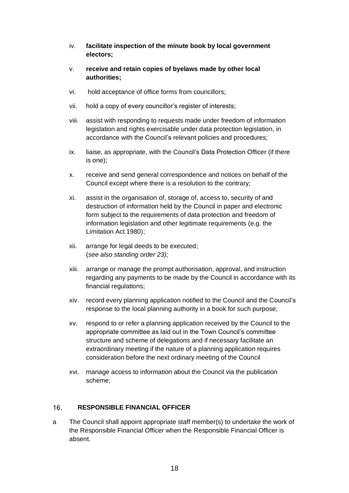- iv. **facilitate inspection of the minute book by local government electors;**
- v. **receive and retain copies of byelaws made by other local authorities;**
- vi. hold acceptance of office forms from councillors;
- vii. hold a copy of every councillor's register of interests;
- viii. assist with responding to requests made under freedom of information legislation and rights exercisable under data protection legislation, in accordance with the Council's relevant policies and procedures;
- ix. liaise, as appropriate, with the Council's Data Protection Officer (if there is one);
- x. receive and send general correspondence and notices on behalf of the Council except where there is a resolution to the contrary;
- xi. assist in the organisation of, storage of, access to, security of and destruction of information held by the Council in paper and electronic form subject to the requirements of data protection and freedom of information legislation and other legitimate requirements (e.g. the Limitation Act 1980);
- xii. arrange for legal deeds to be executed; (*see also standing order 23);*
- xiii. arrange or manage the prompt authorisation, approval, and instruction regarding any payments to be made by the Council in accordance with its financial regulations;
- xiv. record every planning application notified to the Council and the Council's response to the local planning authority in a book for such purpose;
- xv. respond to or refer a planning application received by the Council to the appropriate committee as laid out in the Town Council's committee structure and scheme of delegations and if necessary facilitate an extraordinary meeting if the nature of a planning application requires consideration before the next ordinary meeting of the Council
- xvi. manage access to information about the Council via the publication scheme;

# <span id="page-17-0"></span> $16.$ **RESPONSIBLE FINANCIAL OFFICER**

a The Council shall appoint appropriate staff member(s) to undertake the work of the Responsible Financial Officer when the Responsible Financial Officer is absent.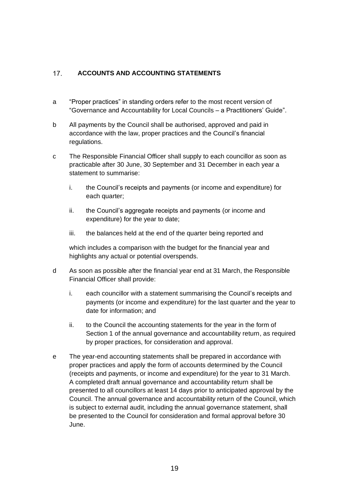# <span id="page-18-0"></span> $17.$ **ACCOUNTS AND ACCOUNTING STATEMENTS**

- a "Proper practices" in standing orders refer to the most recent version of "Governance and Accountability for Local Councils – a Practitioners' Guide".
- b All payments by the Council shall be authorised, approved and paid in accordance with the law, proper practices and the Council's financial regulations.
- c The Responsible Financial Officer shall supply to each councillor as soon as practicable after 30 June, 30 September and 31 December in each year a statement to summarise:
	- i. the Council's receipts and payments (or income and expenditure) for each quarter;
	- ii. the Council's aggregate receipts and payments (or income and expenditure) for the year to date;
	- iii. the balances held at the end of the quarter being reported and

which includes a comparison with the budget for the financial year and highlights any actual or potential overspends.

- d As soon as possible after the financial year end at 31 March, the Responsible Financial Officer shall provide:
	- i. each councillor with a statement summarising the Council's receipts and payments (or income and expenditure) for the last quarter and the year to date for information; and
	- ii. to the Council the accounting statements for the year in the form of Section 1 of the annual governance and accountability return, as required by proper practices, for consideration and approval.
- e The year-end accounting statements shall be prepared in accordance with proper practices and apply the form of accounts determined by the Council (receipts and payments, or income and expenditure) for the year to 31 March. A completed draft annual governance and accountability return shall be presented to all councillors at least 14 days prior to anticipated approval by the Council. The annual governance and accountability return of the Council, which is subject to external audit, including the annual governance statement, shall be presented to the Council for consideration and formal approval before 30 June.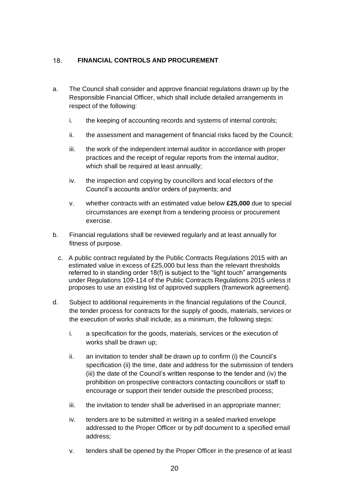# <span id="page-19-0"></span> $18.$ **FINANCIAL CONTROLS AND PROCUREMENT**

- a. The Council shall consider and approve financial regulations drawn up by the Responsible Financial Officer, which shall include detailed arrangements in respect of the following:
	- i. the keeping of accounting records and systems of internal controls;
	- ii. the assessment and management of financial risks faced by the Council;
	- iii. the work of the independent internal auditor in accordance with proper practices and the receipt of regular reports from the internal auditor, which shall be required at least annually;
	- iv. the inspection and copying by councillors and local electors of the Council's accounts and/or orders of payments; and
	- v. whether contracts with an estimated value below **£25,000** due to special circumstances are exempt from a tendering process or procurement exercise.
- b. Financial regulations shall be reviewed regularly and at least annually for fitness of purpose.
	- c. A public contract regulated by the Public Contracts Regulations 2015 with an estimated value in excess of £25,000 but less than the relevant thresholds referred to in standing order 18(f) is subject to the "light touch" arrangements under Regulations 109-114 of the Public Contracts Regulations 2015 unless it proposes to use an existing list of approved suppliers (framework agreement).
- d. Subject to additional requirements in the financial regulations of the Council, the tender process for contracts for the supply of goods, materials, services or the execution of works shall include, as a minimum, the following steps:
	- i. a specification for the goods, materials, services or the execution of works shall be drawn up;
	- ii. an invitation to tender shall be drawn up to confirm (i) the Council's specification (ii) the time, date and address for the submission of tenders (iii) the date of the Council's written response to the tender and (iv) the prohibition on prospective contractors contacting councillors or staff to encourage or support their tender outside the prescribed process;
	- iii. the invitation to tender shall be advertised in an appropriate manner;
	- iv. tenders are to be submitted in writing in a sealed marked envelope addressed to the Proper Officer or by pdf document to a specified email address;
	- v. tenders shall be opened by the Proper Officer in the presence of at least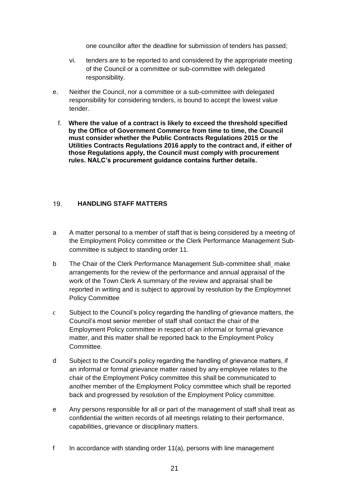one councillor after the deadline for submission of tenders has passed;

- vi. tenders are to be reported to and considered by the appropriate meeting of the Council or a committee or sub-committee with delegated responsibility.
- e. Neither the Council, nor a committee or a sub-committee with delegated responsibility for considering tenders, is bound to accept the lowest value tender.
	- f. **Where the value of a contract is likely to exceed the threshold specified by the Office of Government Commerce from time to time, the Council must consider whether the Public Contracts Regulations 2015 or the Utilities Contracts Regulations 2016 apply to the contract and, if either of those Regulations apply, the Council must comply with procurement rules. NALC's procurement guidance contains further details.**

# <span id="page-20-0"></span> $19<sup>1</sup>$ **HANDLING STAFF MATTERS**

- a A matter personal to a member of staff that is being considered by a meeting of the Employment Policy committee or the Clerk Performance Management Subcommittee is subject to standing order 11.
- b The Chair of the Clerk Performance Management Sub-committee shall make arrangements for the review of the performance and annual appraisal of the work of the Town Clerk A summary of the review and appraisal shall be reported in writing and is subject to approval by resolution by the Employmnet Policy Committee
- c Subject to the Council's policy regarding the handling of grievance matters, the Council's most senior member of staff shall contact the chair of the Employment Policy committee in respect of an informal or formal grievance matter, and this matter shall be reported back to the Employment Policy Committee.
- d Subject to the Council's policy regarding the handling of grievance matters, if an informal or formal grievance matter raised by any employee relates to the chair of the Employment Policy committee this shall be communicated to another member of the Employment Policy committee which shall be reported back and progressed by resolution of the Employment Policy committee.
- e Any persons responsible for all or part of the management of staff shall treat as confidential the written records of all meetings relating to their performance, capabilities, grievance or disciplinary matters.
- f In accordance with standing order  $11(a)$ , persons with line management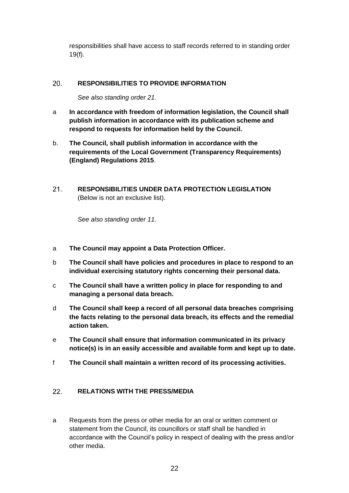responsibilities shall have access to staff records referred to in standing order 19(f).

## <span id="page-21-0"></span>20. **RESPONSIBILITIES TO PROVIDE INFORMATION**

*See also standing order 21.*

- a **In accordance with freedom of information legislation, the Council shall publish information in accordance with its publication scheme and respond to requests for information held by the Council.**
- b. **The Council, shall publish information in accordance with the requirements of the Local Government (Transparency Requirements) (England) Regulations 2015**.
- <span id="page-21-1"></span> $21.$ **RESPONSIBILITIES UNDER DATA PROTECTION LEGISLATION**  (Below is not an exclusive list).

*See also standing order 11.*

- a **The Council may appoint a Data Protection Officer.**
- b **The Council shall have policies and procedures in place to respond to an individual exercising statutory rights concerning their personal data.**
- c **The Council shall have a written policy in place for responding to and managing a personal data breach.**
- d **The Council shall keep a record of all personal data breaches comprising the facts relating to the personal data breach, its effects and the remedial action taken.**
- e **The Council shall ensure that information communicated in its privacy notice(s) is in an easily accessible and available form and kept up to date.**
- f **The Council shall maintain a written record of its processing activities.**

# <span id="page-21-2"></span>22. **RELATIONS WITH THE PRESS/MEDIA**

a Requests from the press or other media for an oral or written comment or statement from the Council, its councillors or staff shall be handled in accordance with the Council's policy in respect of dealing with the press and/or other media.